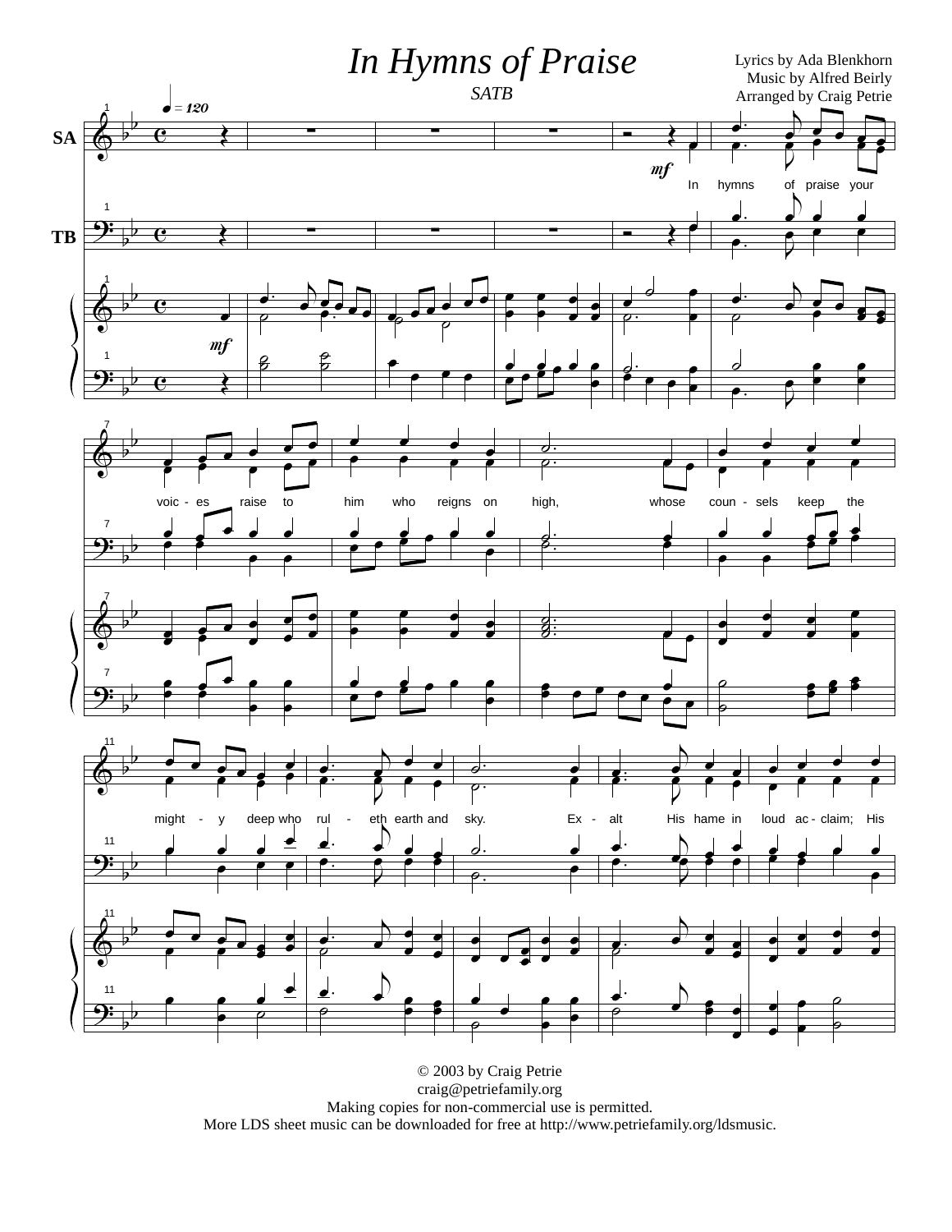

© 2003 by Craig Petrie craig@petriefamily.org Making copies for non-commercial use is permitted. More LDS sheet music can be downloaded for free at http://www.petriefamily.org/ldsmusic.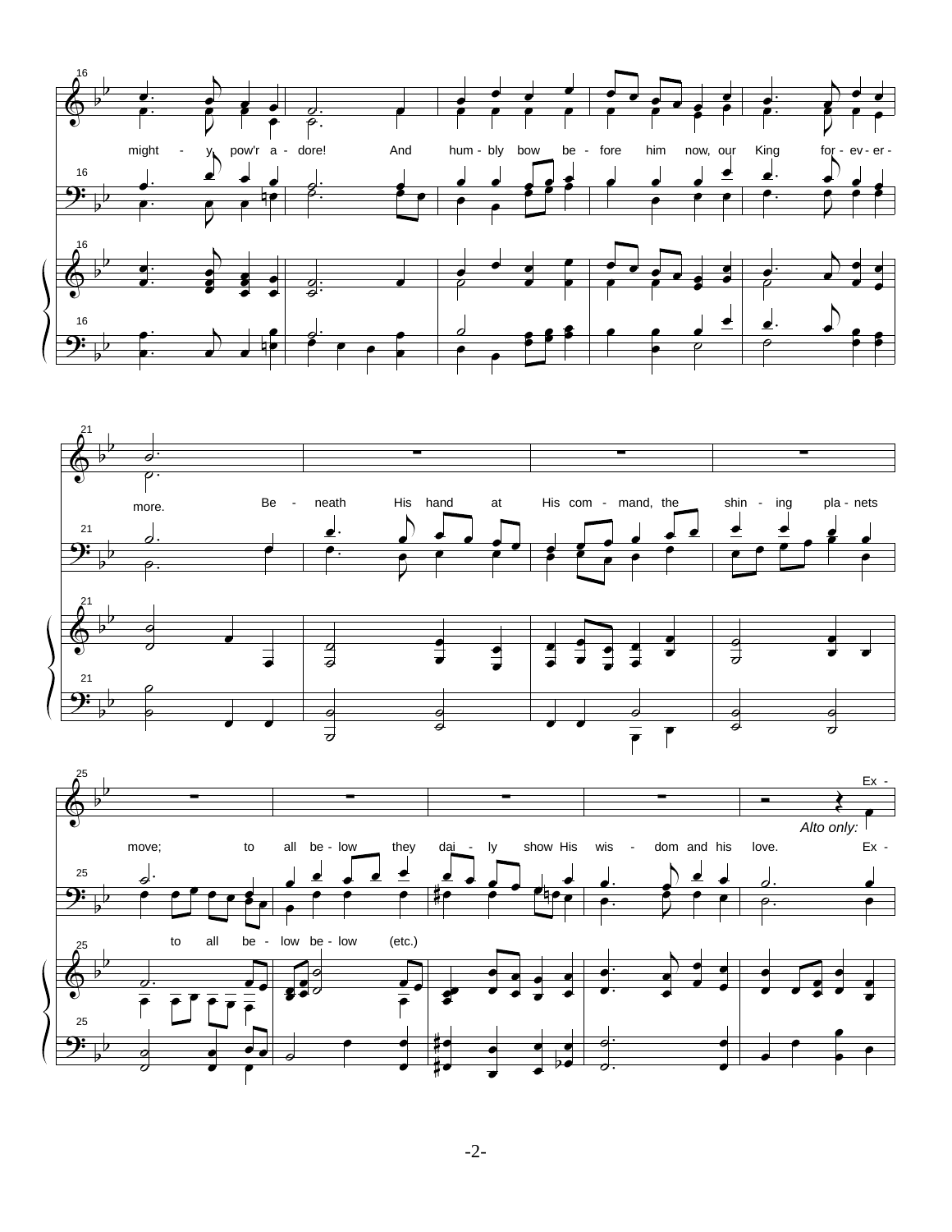





 $-2-$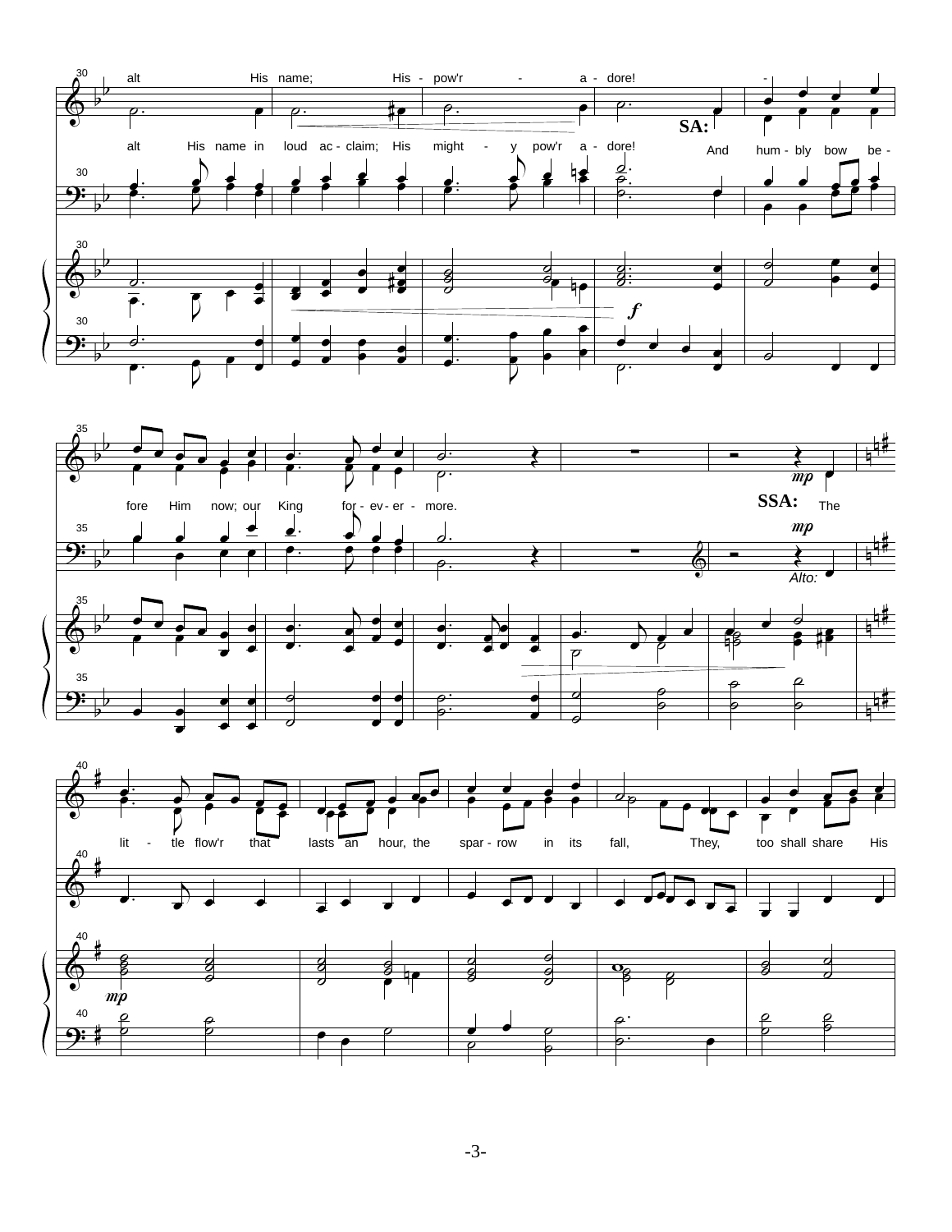



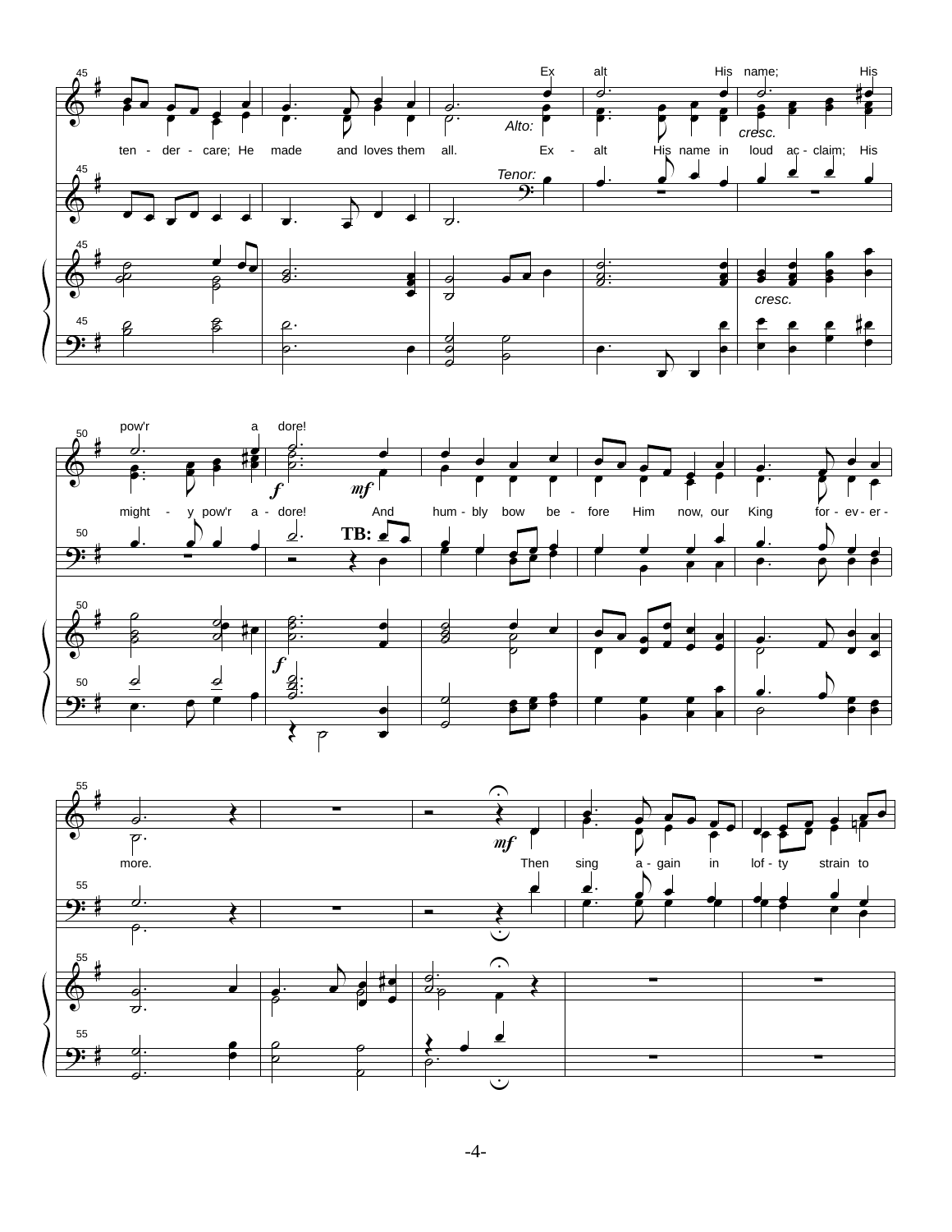